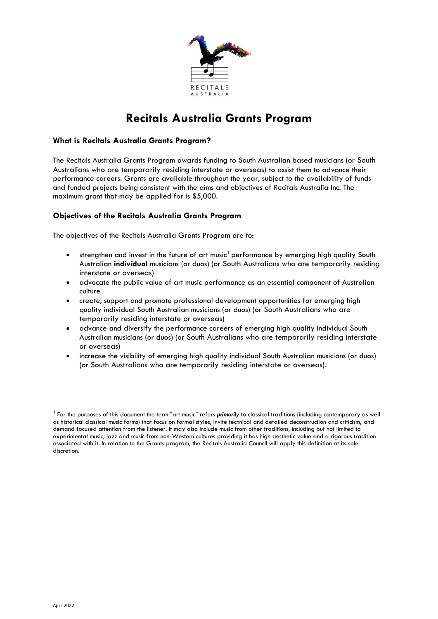

# **Recitals Australia Grants Program**

## **What is Recitals Australia Grants Program?**

The Recitals Australia Grants Program awards funding to South Australian based musicians (or South Australians who are temporarily residing interstate or overseas) to assist them to advance their performance careers. Grants are available throughout the year, subject to the availability of funds and funded projects being consistent with the aims and objectives of Recitals Australia Inc. The maximum grant that may be applied for is \$5,000.

# **Objectives of the Recitals Australia Grants Program**

The objectives of the Recitals Australia Grants Program are to:

- strengthen and invest in the future of art music<sup>1</sup> performance by emerging high quality South Australian **individual** musicians (or duos) (or South Australians who are temporarily residing interstate or overseas)
- advocate the public value of art music performance as an essential component of Australian culture
- create, support and promote professional development opportunities for emerging high quality individual South Australian musicians (or duos) (or South Australians who are temporarily residing interstate or overseas)
- advance and diversify the performance careers of emerging high quality individual South Australian musicians (or duos) (or South Australians who are temporarily residing interstate or overseas)
- increase the visibility of emerging high quality individual South Australian musicians (or duos) (or South Australians who are temporarily residing interstate or overseas).

<sup>1</sup>For the purposes of this document the term "art music" refers *primarily* to classical traditions (including contemporary as well as historical classical music forms) that focus on formal styles, invite technical and detailed deconstruction and criticism, and demand focused attention from the listener. It may also include music from other traditions, including but not limited to experimental music, jazz and music from non-Western cultures providing it has high aesthetic value and a rigorous tradition associated with it. In relation to the Grants program, the Recitals Australia Council will apply this definition at its sole discretion.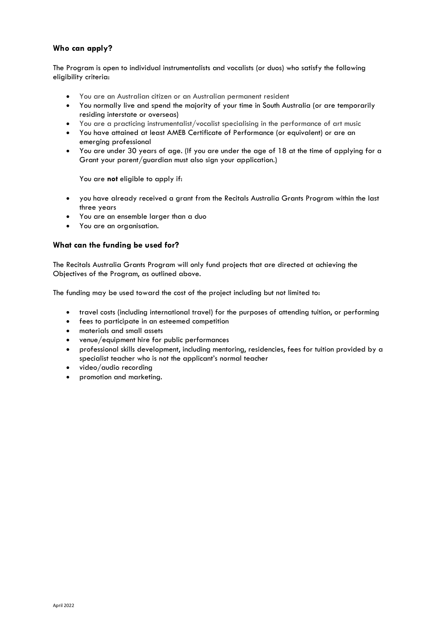# **Who can apply?**

The Program is open to individual instrumentalists and vocalists (or duos) who satisfy the following eligibility criteria:

- You are an Australian citizen or an Australian permanent resident
- You normally live and spend the majority of your time in South Australia (or are temporarily residing interstate or overseas)
- You are a practicing instrumentalist/vocalist specialising in the performance of art music
- You have attained at least AMEB Certificate of Performance (or equivalent) or are an emerging professional
- You are under 30 years of age. (If you are under the age of 18 at the time of applying for a Grant your parent/guardian must also sign your application.)

You are **not** eligible to apply if:

- you have already received a grant from the Recitals Australia Grants Program within the last three years
- You are an ensemble larger than a duo
- You are an organisation.

#### **What can the funding be used for?**

The Recitals Australia Grants Program will only fund projects that are directed at achieving the Objectives of the Program, as outlined above.

The funding may be used toward the cost of the project including but not limited to:

- travel costs (including international travel) for the purposes of attending tuition, or performing
- fees to participate in an esteemed competition
- materials and small assets
- venue/equipment hire for public performances
- professional skills development, including mentoring, residencies, fees for tuition provided by a specialist teacher who is not the applicant's normal teacher
- video/audio recording
- promotion and marketing.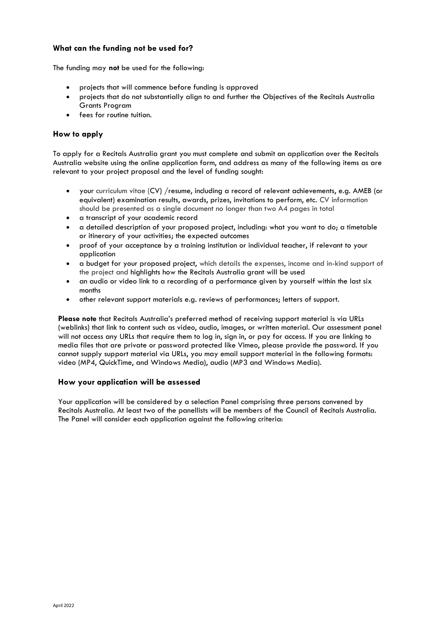## **What can the funding not be used for?**

The funding may **not** be used for the following:

- projects that will commence before funding is approved
- projects that do not substantially align to and further the Objectives of the Recitals Australia Grants Program
- fees for routine tuition.

## **How to apply**

To apply for a Recitals Australia grant you must complete and submit an application over the Recitals Australia website using the online application form, and address as many of the following items as are relevant to your project proposal and the level of funding sought:

- your curriculum vitae (CV) /resume, including a record of relevant achievements, e.g. AMEB (or equivalent) examination results, awards, prizes, invitations to perform, etc. CV information should be presented as a single document no longer than two A4 pages in total
- a transcript of your academic record
- a detailed description of your proposed project, including: what you want to do; a timetable or itinerary of your activities; the expected outcomes
- proof of your acceptance by a training institution or individual teacher, if relevant to your application
- a budget for your proposed project, which details the expenses, income and in-kind support of the project and highlights how the Recitals Australia grant will be used
- an audio or video link to a recording of a performance given by yourself within the last six months
- other relevant support materials e.g. reviews of performances; letters of support.

**Please note** that Recitals Australia's preferred method of receiving support material is via URLs (weblinks) that link to content such as video, audio, images, or written material. Our assessment panel will not access any URLs that require them to log in, sign in, or pay for access. If you are linking to media files that are private or password protected like Vimeo, please provide the password. If you cannot supply support material via URLs, you may email support material in the following formats: video (MP4, QuickTime, and Windows Media), audio (MP3 and Windows Media).

#### **How your application will be assessed**

Your application will be considered by a selection Panel comprising three persons convened by Recitals Australia. At least two of the panellists will be members of the Council of Recitals Australia. The Panel will consider each application against the following criteria: